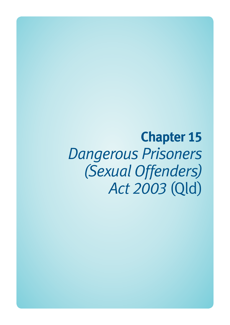**Chapter 15**  *Dangerous Prisoners (Sexual Offenders) Act 2003* (Qld)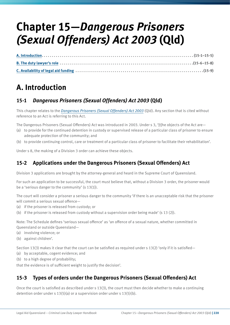# **Chapter 15—***Dangerous Prisoners (Sexual Offenders) Act 2003* **(Qld)**

# **A. Introduction**

## **15-1** *Dangerous Prisoners (Sexual Offenders) Act 2003* **(Qld)**

This chapter relates to the *[Dangerous Prisoners \(Sexual Offenders\) Act 2003](http://www.legislation.qld.gov.au/LEGISLTN/CURRENT/D/DangPrisSOA03.pdf)* (Qld). Any section that is cited without reference to an Act is referring to this Act.

The Dangerous Prisoners (Sexual Offenders) Act was introduced in 2003. Under s 3, '[t]he objects of the Act are—

- (a) to provide for the continued detention in custody or supervised release of a particular class of prisoner to ensure adequate protection of the community; and
- (b) to provide continuing control, care or treatment of a particular class of prisoner to facilitate their rehabilitation'.

Under s 8, the making of a Division 3 order can achieve these objects.

## **15-2 Applications under the Dangerous Prisoners (Sexual Offenders) Act**

Division 3 applications are brought by the attorney-general and heard in the Supreme Court of Queensland.

For such an application to be successful, the court must believe that, without a Division 3 order, the prisoner would be a 'serious danger to the community' (s 13(1)).

The court will consider a prisoner a serious danger to the community 'if there is an unacceptable risk that the prisoner will commit a serious sexual offence—

- (a) if the prisoner is released from custody; or
- (b) if the prisoner is released from custody without a supervision order being made' (s 13 (2)).

Note: The Schedule defines 'serious sexual offence' as 'an offence of a sexual nature, whether committed in Queensland or outside Queensland—

- (a) involving violence; or
- (b) against children'.

Section 13(3) makes it clear that the court can be satisfied as required under s 13(2) 'only if it is satisfied—

- (a) by acceptable, cogent evidence; and
- (b) to a high degree of probability;

that the evidence is of sufficient weight to justify the decision'.

### **15-3 Types of orders under the Dangerous Prisoners (Sexual Offenders) Act**

Once the court is satisfied as described under s 13(3), the court must then decide whether to make a continuing detention order under s 13(5)(a) or a supervision order under s 13(5)(b).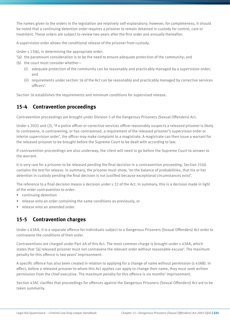The names given to the orders in the legislation are relatively self-explanatory; however, for completeness, it should be noted that a continuing detention order requires a prisoner to remain detained in custody for control, care or treatment. These orders are subject to review two years after the first order and annually thereafter.

A supervision order allows the conditional release of the prisoner from custody.

Under s 13(6), in determining the appropriate order:

- '(a) the paramount consideration is to be the need to ensure adequate protection of the community; and
- (b) the court must consider whether—
	- (i) adequate protection of the community can be reasonably and practicably managed by a supervision order; and
	- (ii) requirements under section 16 of the Act can be reasonably and practicably managed by corrective services officers'.

Section 16 establishes the requirements and minimum conditions for supervised release.

### **15-4 Contravention proceedings**

Contravention proceedings are brought under Division 5 of the Dangerous Prisoners (Sexual Offenders) Act.

Under s 20(1) and (2), 'if a police officer or corrective services officer reasonably suspects a released prisoner is likely to contravene, is contravening, or has contravened, a requirement of the released prisoner's supervision order or interim supervision order', the officer may make complaint to a magistrate. A magistrate can then issue a warrant for the released prisoner to be brought before the Supreme Court to be dealt with according to law.

If contravention proceedings are also underway, the client will need to go before the Supreme Court to answer to the warrant.

It is very rare for a prisoner to be released pending the final decision in a contravention proceeding. Section 21(4) contains the test for release. In summary, the prisoner must show, 'on the balance of probabilities, that his or her detention in custody pending the final decision is not justified because exceptional circumstances exist'.

The reference to a final decision means a decision under s 22 of the Act. In summary, this is a decision made in light of the order contravention to order:

- continuing detention
- release onto an order containing the same conditions as previously, or
- release onto an amended order.

## **15-5 Contravention charges**

Under s 43AA, it is a separate offence for individuals subject to a Dangerous Prisoners (Sexual Offenders) Act order to contravene the conditions of their order.

Contraventions are charged under Part 4A of this Act. The most common charge is brought under s 43AA, which states that '[a] released prisoner must not contravene the relevant order without reasonable excuse'. The maximum penalty for this offence is two years' imprisonment.

A specific offence has also been created in relation to applying for a change of name without permission (s 43AB). In effect, before a released prisoner to whom this Act applies can apply to change their name, they must seek written permission from the chief executive. The maximum penalty for this offence is six months' imprisonment.

Section 43AC clarifies that proceedings for offences against the Dangerous Prisoners (Sexual Offenders) Act are to be taken summarily.